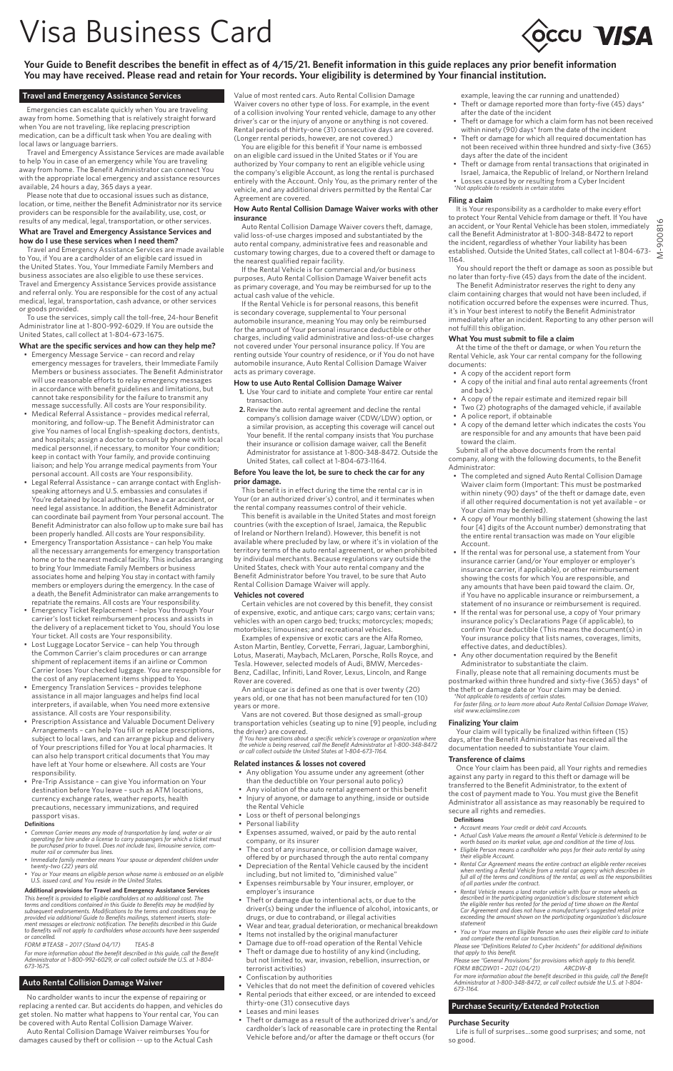# Visa Business Card

**Your Guide to Benefit describes the benefit in effect as of 4/15/21. Benefit information in this guide replaces any prior benefit information You may have received. Please read and retain for Your records. Your eligibility is determined by Your financial institution.** 

## **Travel and Emergency Assistance Services**

Emergencies can escalate quickly when You are traveling away from home. Something that is relatively straight forward when You are not traveling, like replacing prescription medication, can be a difficult task when You are dealing with local laws or language barriers.

Travel and Emergency Assistance Services are made available to help You in case of an emergency while You are traveling away from home. The Benefit Administrator can connect You andy nonmomer the scheme ramification can connect real with the appropriate local emergency and assistance resources available, 24 hours a day, 365 days a year.

Please note that due to occasional issues such as distance, location, or time, neither the Benefit Administrator nor its service providers can be responsible for the availability, use, cost, or results of any medical, legal, transportation, or other services.

### **What are Travel and Emergency Assistance Services and how do I use these services when I need them?**

Travel and Emergency Assistance Services are made available to You, if You are a cardholder of an eligible card issued in the United States. You, Your Immediate Family Members and business associates are also eligible to use these services. Travel and Emergency Assistance Services provide assistance and referral only. You are responsible for the cost of any actual medical, legal, transportation, cash advance, or other services or goods provided.

To use the services, simply call the toll-free, 24-hour Benefit Administrator line at 1-800-992-6029. If You are outside the United States, call collect at 1-804-673-1675.

- **What are the specific services and how can they help me?** Emergency Message Service can record and relay emergency messages for travelers, their Immediate Family Members or business associates. The Benefit Administrator will use reasonable efforts to relay emergency messages in accordance with benefit guidelines and limitations, but cannot take responsibility for the failure to transmit any message successfully. All costs are Your responsibility.
- Medical Referral Assistance provides medical referral, monitoring, and follow-up. The Benefit Administrator can give You names of local English-speaking doctors, dentists, and hospitals; assign a doctor to consult by phone with local medical personnel, if necessary, to monitor Your condition; keep in contact with Your family, and provide continuing liaison; and help You arrange medical payments from Your personal account. All costs are Your responsibility.
- Legal Referral Assistance can arrange contact with Englishspeaking attorneys and U.S. embassies and consulates if You're detained by local authorities, have a car accident, or need legal assistance. In addition, the Benefit Administrator can coordinate bail payment from Your personal account. The Benefit Administrator can also follow up to make sure bail has
- been properly handled. All costs are Your responsibility. Emergency Transportation Assistance can help You make all the necessary arrangements for emergency transportation home or to the nearest medical facility. This includes arranging to bring Your Immediate Family Members or business associates home and helping You stay in contact with family members or employers during the emergency. In the case of a death, the Benefit Administrator can make arrangements to
- repatriate the remains. All costs are Your responsibility. Emergency Ticket Replacement helps You through Your carrier's lost ticket reimbursement process and assists in the delivery of a replacement ticket to You, should You lose Your ticket. All costs are Your responsibility.
- Lost Luggage Locator Service can help You through the Common Carrier's claim procedures or can arrange shipment of replacement items if an airline or Common Carrier loses Your checked luggage. You are responsible for the cost of any replacement items shipped to You.
- Emergency Translation Services provides telephone assistance in all major languages and helps find local interpreters, if available, when You need more extensive assistance. All costs are Your responsibility.
- Prescription Assistance and Valuable Document Delivery Arrangements – can help You fill or replace prescriptions, subject to local laws, and can arrange pickup and delivery of Your prescriptions filled for You at local pharmacies. It can also help transport critical documents that You may have left at Your home or elsewhere. All costs are Your responsibility.
- Pre-Trip Assistance can give You information on Your destination before You leave – such as ATM locations, currency exchange rates, weather reports, health precautions, necessary immunizations, and required passport visas.

### **Definitions**

- Common Carrier means any mode of transportation by land, water or air<br>operating for hire under a license to carry passengers for which a ticket must<br>be purchased prior to travel. Does not include taxi, limousine service,
- Immediate family member means Your spouse or dependent children under<br>twenty-two (22) years old.<br>• You or Your means an eligible person whose name is embossed on an eligible<br>• U.S. issued card, and You reside in the Unit
- 

Additional provisions for Travel and Emergency Assistance Services<br>This benefit is provided to eligible cardholders at no additional cost. The<br>terms and conditions contained in this Guide to Benefits may be modified by<br>sub

FORM #TEASB - 2017 (Stand 04/17) TEAS-B<br>For more information about the benefit described in this guide, call the Benefit<br>Administrator at 1-800-992-6029, or call collect outside the U.S. at 1-804-<br>673-1675.

### **Auto Rental Collision Damage Waiver**

No cardholder wants to incur the expense of repairing or replacing a rented car. But accidents do happen, and vehicles do get stolen. No matter what happens to Your rental car, You can be covered with Auto Rental Collision Damage Waiver.

Auto Rental Collision Damage Waiver reimburses You for damages caused by theft or collision -- up to the Actual Cash Value of most rented cars. Auto Rental Collision Damage Waiver covers no other type of loss. For example, in the event of a collision involving Your rented vehicle, damage to any other driver's car or the injury of anyone or anything is not covered. Rental periods of thirty-one (31) consecutive days are covered. (Longer rental periods, however, are not covered.)

You are eligible for this benefit if Your name is embossed on an eligible card issued in the United States or if You are authorized by Your company to rent an eligible vehicle using the company's eligible Account, as long the rental is purchased entirely with the Account. Only You, as the primary renter of the vehicle, and any additional drivers permitted by the Rental Car Agreement are covered.

### **How Auto Rental Collision Damage Waiver works with other insurance**

Auto Rental Collision Damage Waiver covers theft, damage, valid loss-of-use charges imposed and substantiated by the auto rental company, administrative fees and reasonable and customary towing charges, due to a covered theft or damage to the nearest qualified repair facility.

If the Rental Vehicle is for commercial and/or business purposes, Auto Rental Collision Damage Waiver benefit acts as primary coverage, and You may be reimbursed for up to the actual cash value of the vehicle.

If the Rental Vehicle is for personal reasons, this benefit is secondary coverage, supplemental to Your personal automobile insurance, meaning You may only be reimbursed for the amount of Your personal insurance deductible or other charges, including valid administrative and loss-of-use charges not covered under Your personal insurance policy. If You are renting outside Your country of residence, or if You do not have automobile insurance, Auto Rental Collision Damage Waiver acts as primary coverage.

### **How to use Auto Rental Collision Damage Waiver**

- **1.** Use Your card to initiate and complete Your entire car rental transaction.
- **2.** Review the auto rental agreement and decline the rental company's collision damage waiver (CDW/LDW) option, or a similar provision, as accepting this coverage will cancel out Your benefit. If the rental company insists that You purchase their insurance or collision damage waiver, call the Benefit Administrator for assistance at 1-800-348-8472. Outside the United States, call collect at 1-804-673-1164.

### **Before You leave the lot, be sure to check the car for any prior damage.**

This benefit is in effect during the time the rental car is in Your (or an authorized driver's) control, and it terminates when the rental company reassumes control of their vehicle.

This benefit is available in the United States and most foreign countries (with the exception of Israel, Jamaica, the Republic of Ireland or Northern Ireland). However, this benefit is not available where precluded by law, or where it's in violation of the territory terms of the auto rental agreement, or when prohibited by individual merchants. Because regulations vary outside the United States, check with Your auto rental company and the Benefit Administrator before You travel, to be sure that Auto Rental Collision Damage Waiver will apply.

### **Vehicles not covered**

Certain vehicles are not covered by this benefit, they consist of expensive, exotic, and antique cars; cargo vans; certain vans; vehicles with an open cargo bed; trucks; motorcycles; mopeds; motorbikes; limousines; and recreational vehicles.

Examples of expensive or exotic cars are the Alfa Romeo, Aston Martin, Bentley, Corvette, Ferrari, Jaguar, Lamborghini, Lotus, Maserati, Maybach, McLaren, Porsche, Rolls Royce, and Tesla. However, selected models of Audi, BMW, Mercedes-Benz, Cadillac, Infiniti, Land Rover, Lexus, Lincoln, and Range Rover are covered.

An antique car is defined as one that is over twenty (20) years old, or one that has not been manufactured for ten (10) years or more.

Vans are not covered. But those designed as small-group transportation vehicles (seating up to nine [9] people, including the driver) are covered.

lf You have questions about a specific vehicle's coverage or organization where<br>the vehicle is being reserved, call the Benefit Administrator at 1-800-348-8472<br>or call collect outside the United States at 1-804-673-1164.

### **Related instances & losses not covered**

- Any obligation You assume under any agreement (other
- than the deductible on Your personal auto policy) • Any violation of the auto rental agreement or this benefit
- Injury of anyone, or damage to anything, inside or outside
- the Rental Vehicle
- Loss or theft of personal belongings Personal liability
- Expenses assumed, waived, or paid by the auto rental company, or its insurer
- The cost of any insurance, or collision damage waiver, offered by or purchased through the auto rental company
- Depreciation of the Rental Vehicle caused by the incident including, but not limited to, "diminished value"
- Expenses reimbursable by Your insurer, employer, or employer's insurance
- Theft or damage due to intentional acts, or due to the driver(s) being under the influence of alcohol, intoxicants, or drugs, or due to contraband, or illegal activities
- Wear and tear, gradual deterioration, or mechanical breakdown • Items not installed by the original manufacturer
- Damage due to off-road operation of the Rental Vehicle • Theft or damage due to hostility of any kind (including,
- but not limited to, war, invasion, rebellion, insurrection, or terrorist activities) • Confiscation by authorities
- Vehicles that do not meet the definition of covered vehicles
- Rental periods that either exceed, or are intended to exceed thirty-one (31) consecutive days
- Leases and mini leases
- Theft or damage as a result of the authorized driver's and/or cardholder's lack of reasonable care in protecting the Rental Vehicle before and/or after the damage or theft occurs (for

example, leaving the car running and unattended) • Theft or damage reported more than forty-five (45) days\*

**OCCU VISA** 

- after the date of the incident Theft or damage for which a claim form has not been received
- within ninety (90) days\* from the date of the incident • Theft or damage for which all required documentation has not been received within three hundred and sixty-five (365)
- days after the date of the incident • Theft or damage from rental transactions that originated in Israel, Jamaica, the Republic of Ireland, or Northern Ireland • Losses caused by or resulting from a Cyber Incident *\*Not applicable to residents in certain states*
- 

## **Filing a claim**

It is Your responsibility as a cardholder to make every effort to protect Your Rental Vehicle from damage or theft. If You have 900816 M-900816an accident, or Your Rental Vehicle has been stolen, immediately call the Benefit Administrator at 1-800-348-8472 to report the incident, regardless of whether Your liability has been established. Outside the United States, call collect at 1-804-673- 1164.

You should report the theft or damage as soon as possible but no later than forty-five (45) days from the date of the incident.

The Benefit Administrator reserves the right to deny any claim containing charges that would not have been included, if notification occurred before the expenses were incurred. Thus, it's in Your best interest to notify the Benefit Administrator immediately after an incident. Reporting to any other person will not fulfill this obligation.

### **What You must submit to file a claim**

At the time of the theft or damage, or when You return the Rental Vehicle, ask Your car rental company for the following documents:

• A copy of the accident report form

- A copy of the initial and final auto rental agreements (front and back)
- A copy of the repair estimate and itemized repair bill
- Two (2) photographs of the damaged vehicle, if available • A police report, if obtainable
- A copy of the demand letter which indicates the costs You are responsible for and any amounts that have been paid toward the claim.

Submit all of the above documents from the rental company, along with the following documents, to the Benefit Administrator:

- The completed and signed Auto Rental Collision Damage Waiver claim form (Important: This must be postmarked within ninety (90) days\* of the theft or damage date, even if all other required documentation is not yet available – or Your claim may be denied).
- A copy of Your monthly billing statement (showing the last four [4] digits of the Account number) demonstrating that the entire rental transaction was made on Your eligible Account.
- If the rental was for personal use, a statement from Your insurance carrier (and/or Your employer or employer's insurance carrier, if applicable), or other reimbursement showing the costs for which You are responsible, and any amounts that have been paid toward the claim. Or, if You have no applicable insurance or reimbursement, a
- statement of no insurance or reimbursement is required. • If the rental was for personal use, a copy of Your primary insurance policy's Declarations Page (if applicable), to confirm Your deductible (This means the document(s) in Your insurance policy that lists names, coverages, limits, effective dates, and deductibles).
- Any other documentation required by the Benefit Administrator to substantiate the claim.

Finally, please note that all remaining documents must be postmarked within three hundred and sixty-five (365) days\* of the theft or damage date or Your claim may be denied. *\*Not applicable to residents of certain states.* 

*For faster filing, or to learn more about Auto Rental Collision Damage Waiver, visit www.eclaimsline.com*

### **Finalizing Your claim**

Your claim will typically be finalized within fifteen (15) days, after the Benefit Administrator has received all the documentation needed to substantiate Your claim.

### **Transference of claims**

Once Your claim has been paid, all Your rights and remedies against any party in regard to this theft or damage will be transferred to the Benefit Administrator, to the extent of the cost of payment made to You. You must give the Benefit Administrator all assistance as may reasonably be required to secure all rights and remedies.

**Purchase Security**

so good.

- 
- 
- 
- **Definitions**<br>
 Account means Your credit or debit card Accounts.<br>
 Account means Your credit or debit card Accounts.<br>
 Calcular Cash Value means the amount a Rental Vehicle is determined to be<br>
 worth based on its mar
- Rental Vehicle means a land motor vehicle with four or more wheels as<br>described in the participating organization's disclosure statement which<br>the eligible renter has rented for the period of time shown on the Rental<br>Car
- You or Your means an Eligible Person who uses their eligible card to initiate<br>and complete the rental car transaction.<br>Please see "Definitions Related to Cyber Incidents" for additional definitions<br>that apply to this be

*For more information about the benefit described in this guide, call the Benefit Administrator at 1-800-348-8472, or call collect outside the U.S. at 1-804- 673-1164.*

Life is full of surprises…some good surprises; and some, not

**Purchase Security/Extended Protection**